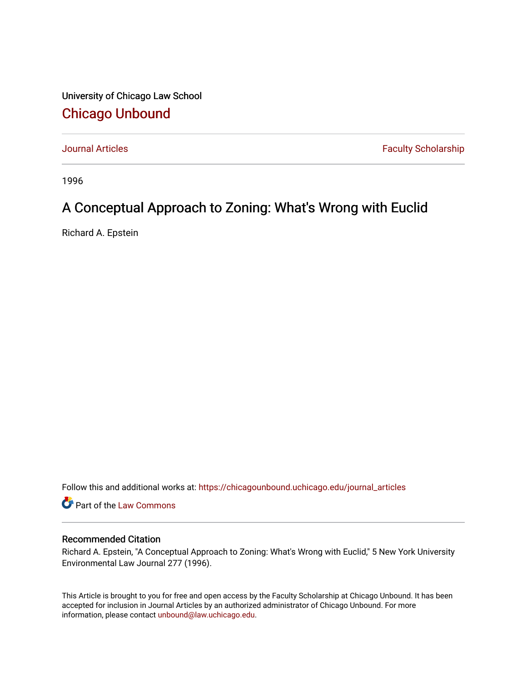University of Chicago Law School [Chicago Unbound](https://chicagounbound.uchicago.edu/)

[Journal Articles](https://chicagounbound.uchicago.edu/journal_articles) **Faculty Scholarship Faculty Scholarship** 

1996

# A Conceptual Approach to Zoning: What's Wrong with Euclid

Richard A. Epstein

Follow this and additional works at: [https://chicagounbound.uchicago.edu/journal\\_articles](https://chicagounbound.uchicago.edu/journal_articles?utm_source=chicagounbound.uchicago.edu%2Fjournal_articles%2F1336&utm_medium=PDF&utm_campaign=PDFCoverPages) 

Part of the [Law Commons](http://network.bepress.com/hgg/discipline/578?utm_source=chicagounbound.uchicago.edu%2Fjournal_articles%2F1336&utm_medium=PDF&utm_campaign=PDFCoverPages)

## Recommended Citation

Richard A. Epstein, "A Conceptual Approach to Zoning: What's Wrong with Euclid," 5 New York University Environmental Law Journal 277 (1996).

This Article is brought to you for free and open access by the Faculty Scholarship at Chicago Unbound. It has been accepted for inclusion in Journal Articles by an authorized administrator of Chicago Unbound. For more information, please contact [unbound@law.uchicago.edu](mailto:unbound@law.uchicago.edu).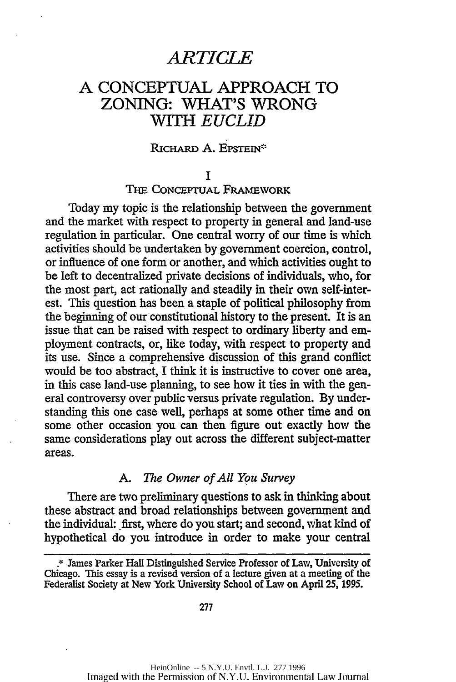# *ARTICLE*

# **A CONCEPTUAL** APPROACH TO ZONING: WHAT'S WRONG *WITH EUCLID*

#### RICHARD A. EPSTEIN\*

**I**

THE CONCEPTUAL FRAMEWORK

Today my topic is the relationship between the government and the market with respect to property in general and land-use regulation in particular. One central worry of our time is which activities should be undertaken by government coercion, control, or influence of one form or another, and which activities ought to be left to decentralized private decisions of individuals, who, for the most part, act rationally and steadily in their own self-interest. This question has been a staple of political philosophy from the beginning of our constitutional history to the present. It is an issue that can be raised with respect to ordinary liberty and employment contracts, or, like today, with respect to property and its use. Since a comprehensive discussion of this grand conflict would be too abstract, I think it is instructive to cover one area, in this case land-use planning, to see how it ties in with the general controversy over public versus private regulation. By understanding this one case well, perhaps at some other time and on some other occasion you can then figure out exactly how the same considerations play out across the different subject-matter areas.

#### *A. The Owner of All You Survey*

There are two preliminary questions to ask in thinking about these abstract and broad relationships between government and the individual: first, where do you start; and second, what kind of hypothetical do you introduce in order to make your central

<sup>\*</sup> James Parker Hall Distinguished Service Professor of Law, University of Chicago. This essay is a revised version of a lecture given at a meeting of the Federalist Society at New York University School of Law on April **25, 1995.**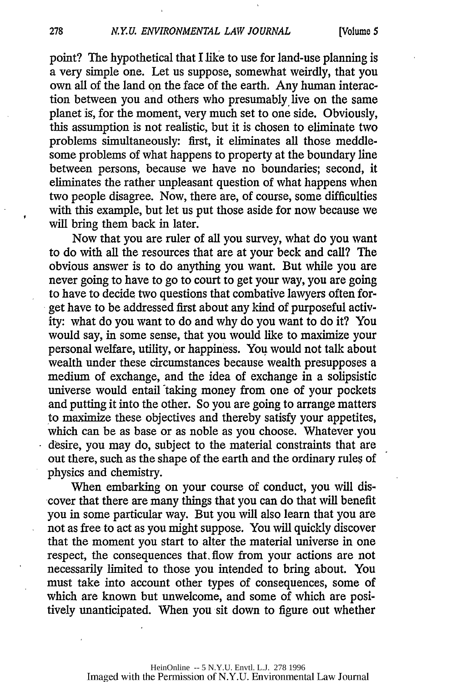point? The hypothetical that I like to use for land-use planning is a very simple one. Let us suppose, somewhat weirdly, that you own all of the land on the face of the earth. Any human interaction between you and others who presumably live on the same planet is, for the moment, very much set to one side. Obviously, this assumption is not realistic, but it is chosen to eliminate two problems simultaneously: first, it eliminates all those meddlesome problems of what happens to property at the boundary line between persons, because we have no boundaries; second, it eliminates the rather unpleasant question of what happens when two people disagree. Now, there are, of course, some difficulties with this example, but let us put those aside for now because we will bring them back in later.

Now that you are ruler of all you survey, what do you want to do with all the resources that are at your beck and call? The obvious answer is to do anything you want. But while you are never going to have to go to court to get your way, you are going to have to decide two questions that combative lawyers often forget have to be addressed first about any kind of purposeful activity: what do you want to do and why do you want to do it? You would say, in some sense, that you would like to maximize your personal welfare, utility, or happiness. You would not talk about wealth under these circumstances because wealth presupposes a medium of exchange, and the idea of exchange in a solipsistic universe would entail taking money from one of your pockets and putting it into the other. So you are going to arrange matters to maximize these objectives and thereby satisfy your appetites, which can be as base or as noble as you choose. Whatever you desire, you may do, subject to the material constraints that are out there, such as the shape of the earth and the ordinary rules of physics and chemistry.

When embarking on your course of conduct, you will discover that there are many things that you can do that will benefit you in some particular way. But you will also learn that you are not as free to act as you might suppose. You will quickly discover that the moment you start to alter the material universe in one respect, the consequences that. flow from your actions are not necessarily limited to those you intended to bring about. You must take into account other types of consequences, some of which are known but unwelcome, and some of which are positively unanticipated. When you sit down to figure out whether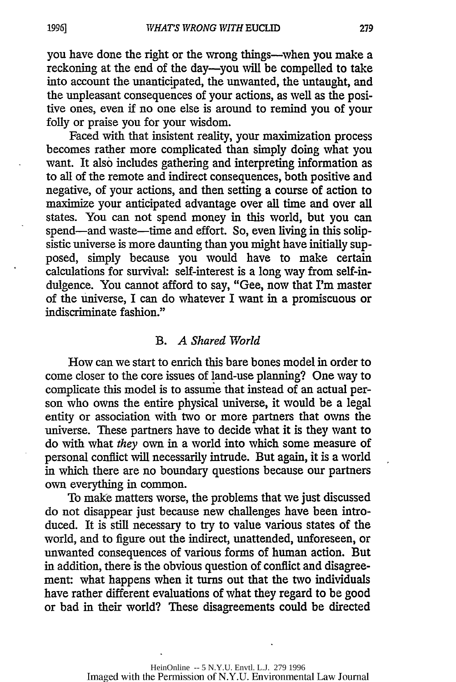you have done the right or the wrong things--when you make a reckoning at the end of the day-you will be compelled to take into account the unanticipated, the unwanted, the untaught, and the unpleasant consequences of your actions, as well as the positive ones, even if no one else is around to remind you of your folly or praise you for your wisdom.

Faced with that insistent reality, your maximization process becomes rather more complicated than simply doing what you want. It also includes gathering and interpreting information as to all of the remote and indirect consequences, both positive and negative, of your actions, and then setting a course of action to maximize your anticipated advantage over all time and over all states. You can not spend money in this world, but you can spend—and waste—time and effort. So, even living in this solipsistic universe is more daunting than you might have initially supposed, simply because you would have to make certain calculations for survival: self-interest is a long way from self-indulgence. You cannot afford to say, "Gee, now that I'm master of the universe, I can do whatever I want in a promiscuous or indiscriminate fashion."

#### B. *A Shared World*

How can we start to enrich this bare bones model in order to come closer to the core issues of land-use planning? One way to complicate this model is to assume that instead of an actual person who owns the entire physical universe, it would be a legal entity or association with two or more partners that owns the universe. These partners have to decide what it is they want to do with what *they* own in a world into which some measure of personal conflict will necessarily intrude. But again, it is a world in which there are no boundary questions because our partners own everything in common.

To make matters worse, the problems that we just discussed do not disappear just because new challenges have been introduced. It is still necessary to try to value various states of the world, and to figure out the indirect, unattended, unforeseen, or unwanted consequences of various forms of human action. But in addition, there is the obvious question of conflict and disagreement: what happens when it turns out that the two individuals have rather different evaluations of what they regard to be good or bad in their world? These disagreements could be directed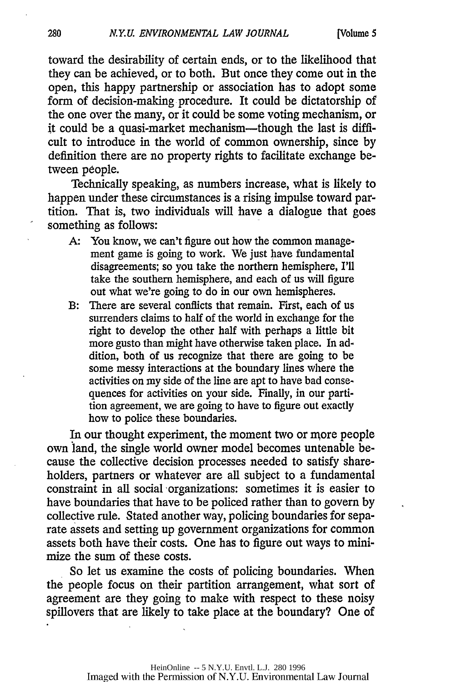toward the desirability of certain ends, or to the likelihood that they can be achieved, or to both. But once they come out in the open, this happy partnership or association has to adopt some form of decision-making procedure. It could be dictatorship of the one over the many, or it could be some voting mechanism, or it could be a quasi-market mechanism-though the last is **diffi**cult to introduce in the world of common ownership, since **by** definition there are no property rights to facilitate exchange between people.

Technically speaking, as numbers increase, what is likely to happen under these circumstances is a rising impulse toward partition. That is, two individuals will have a dialogue that goes something as follows:

- **A:** You know, we can't figure out how the common management game is going to work. We just have fundamental disagreements; so you take the northern hemisphere, I'll take the southern hemisphere, and each of us will figure out what we're going to do in our own hemispheres.
- B: There are several conflicts that remain. First, each of us surrenders claims to half of the world in exchange for the right to develop the other half with perhaps a little bit more gusto than might have otherwise taken place. In addition, both of us recognize that there are going to be some messy interactions at the boundary lines where the activities on my side of the line are apt to have bad consequences for activities on your side. Finally, in our partition agreement, we are going to have to figure out exactly how to police these boundaries.

In our thought experiment, the moment two or more people own land, the single world owner model becomes untenable because the collective decision processes needed to satisfy shareholders, partners or whatever are all subject to a fundamental constraint in all social organizations: sometimes it is easier to have boundaries that have to be policed rather than to govern **by** collective rule. Stated another way, policing boundaries for separate assets and setting up government organizations for common assets both have their costs. One has to figure out ways to minimize the sum of these costs.

So let us examine the costs of policing boundaries. When the people focus on their partition arrangement, what sort of agreement are they going to make with respect to these noisy spillovers that are likely to take place at the boundary? One of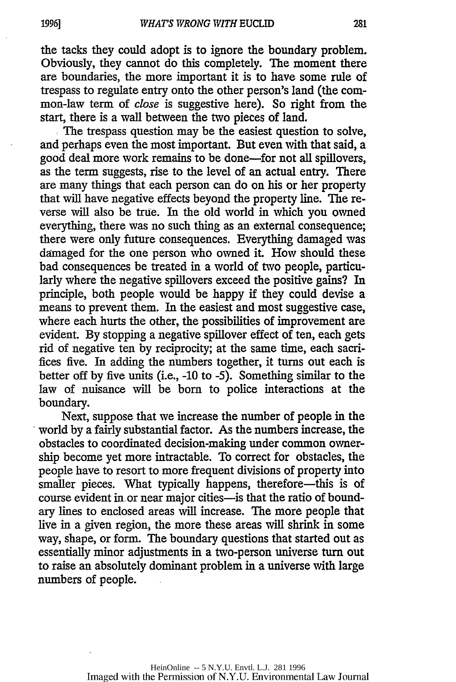the tacks they could adopt is to ignore the boundary problem. Obviously, they cannot do this completely. The moment there are boundaries, the more important it is to have some rule of trespass to regulate entry onto the other person's land (the common-law term of close is suggestive here). So right from the start, there is a wall between the two pieces of land.

The trespass question may be the easiest question to solve, and perhaps even the most important. But even with that said, a good deal more work remains to be done-for not all spillovers, as the term suggests, rise to the level of an actual entry. There are many things that each person can do on his or her property that will have negative effects beyond the property line. The reverse will also be true. In the old world in which you owned everything, there was no such thing as an external consequence; there were only future consequences. Everything damaged was damaged for the one person who owned it. How should these bad consequences be treated in a world of two people, particularly where the negative spillovers exceed the positive gains? In principle, both people would be happy if they could devise a means to prevent them. In the easiest and most suggestive case, where each hurts the other, the possibilities of improvement are evident. By stopping a negative spillover effect of ten, each gets rid of negative ten by reciprocity; at the same time, each sacrifices five. In adding the numbers together, it turns out each is better off by five units (i.e., -10 to -5). Something similar to the law of nuisance will be born to police interactions at the boundary.

Next, suppose that we increase the number of people in the world by a fairly substantial factor. As the numbers increase, the obstacles to coordinated decision-making under common ownership become yet more intractable. To correct for obstacles, the people have to resort to more frequent divisions of property into smaller pieces. What typically happens, therefore—this is of course evident in or near major cities-is that the ratio of boundary lines to enclosed areas will increase. The more people that live in a given region, the more these areas will shrink in some way, shape, or form. The boundary questions that started out as essentially minor adjustments in a two-person universe turn out to raise an absolutely dominant problem in a universe with large numbers of people.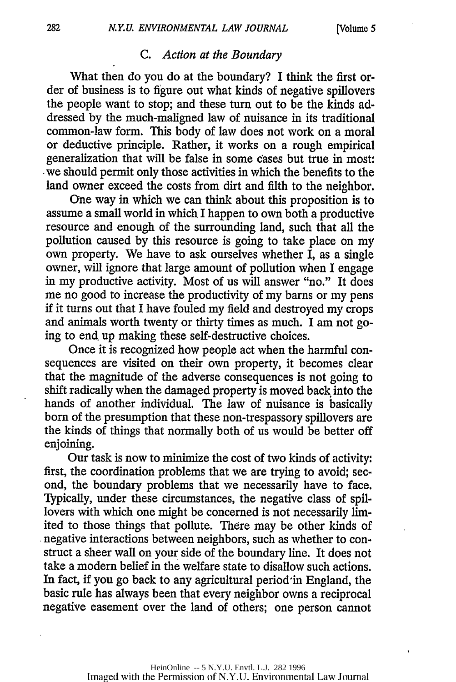#### *C. Action at the Boundary*

What then do you do at the boundary? I think the first order of business is to figure out what kinds of negative spillovers the people want to stop; and these turn out to be the kinds addressed by the much-maligned law of nuisance in its traditional common-law form. This body of law does not work on a moral or deductive principle. Rather, it works on a rough empirical generalization that will be false in some cases but true in most: we should permit only those activities in which the benefits to the land owner exceed the costs from dirt and filth to the neighbor.

One way in which we can think about this proposition is to assume a small world in which I happen to own both a productive resource and enough of the surrounding land, such that all the pollution caused by this resource is going to take place on my own property. We have to ask ourselves whether  $\overline{I}$ , as a single owner, will ignore that large amount of pollution when I engage in my productive activity. Most of us will answer "no." It does me no good to increase the productivity of my barns or my pens if it turns out that I have fouled my field and destroyed my crops and animals worth twenty or thirty times as much. I am not going to end up making these self-destructive choices.

Once it is recognized how people act when the harmful consequences are visited on their own property, it becomes clear that the magnitude of the adverse consequences is not going to shift radically when the damaged property is moved back. into the hands of another individual. The law of nuisance is basically born of the presumption that these non-trespassory spillovers are the kinds of things that normally both of us would be better off enjoining.

Our task is now to minimize the cost of two kinds of activity: first, the coordination problems that we are trying to avoid; second, the boundary problems that we necessarily have to face. Typically, under these circumstances, the negative class of spillovers with which one might be concerned is not necessarily limited to those things that pollute. There may be other kinds of negative interactions between neighbors, such as whether to construct a sheer wall on your side of the boundary line. It does not take a modern belief in the welfare state to disallow such actions. In fact, if you go back to any agricultural period in England, the basic rule has always been that every neighbor owns a reciprocal negative easement over the land of others; one person cannot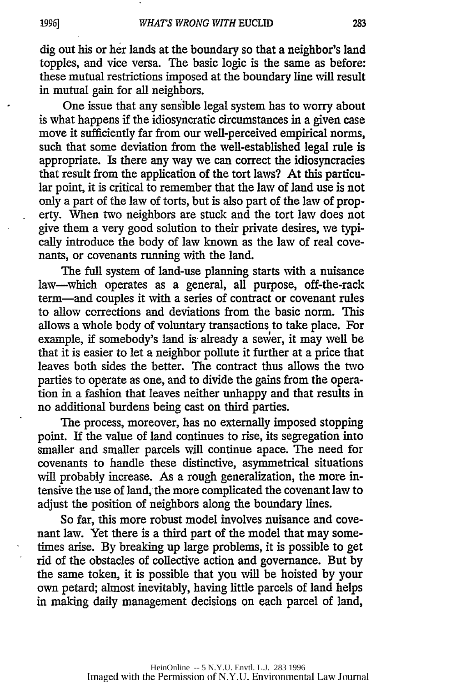dig out his or her lands at the boundary so that a neighbor's land topples, and vice versa. The basic logic is the same as before: these mutual restrictions imposed at the boundary line will result in mutual gain for all neighbors.

One issue that any sensible legal system has to worry about is what happens if the idiosyncratic circumstances in a given case move it sufficiently far from our well-perceived empirical norms, such that some deviation from the well-established legal rule is appropriate. Is there any way we can correct the idiosyncracies that result from the application of the tort laws? At this particular point, it is critical to remember that the law of land use is not only a part of the law of torts, but is also part of the law of property. When two neighbors are stuck and the tort law does not give them a very good solution to their private desires, we typically introduce the body of law known as the law of real covenants, or covenants running with the land.

The full system of land-use planning starts with a nuisance law—which operates as a general, all purpose, off-the-rack term-and couples it with a series of contract or covenant rules to allow corrections and deviations from the basic norm. This allows a whole body of voluntary transactions to take place. For example, if somebody's land is already a sewer, it may well be that it is easier to let a neighbor pollute it further at a price that leaves both sides the better. The contract thus allows the two parties to operate as one, and to divide the gains from the operation in a fashion that leaves neither unhappy and that results in no additional burdens being cast on third parties.

The process, moreover, has no externally imposed stopping point. If the value of land continues to rise, its segregation into smaller and smaller parcels will continue apace. The need for covenants to handle these distinctive, asymmetrical situations will probably increase. As a rough generalization, the more intensive the use of land, the more complicated the covenant law to adjust the position of neighbors along the boundary lines.

So far, this more robust model involves nuisance and covenant law. Yet there is a third part of the model that may sometimes arise. By breaking up large problems, it is possible to get rid of the obstacles of collective action and governance. But by the same token, it is possible that you will be hoisted by your own petard; almost inevitably, having little parcels of land helps in making daily management decisions on each parcel of land,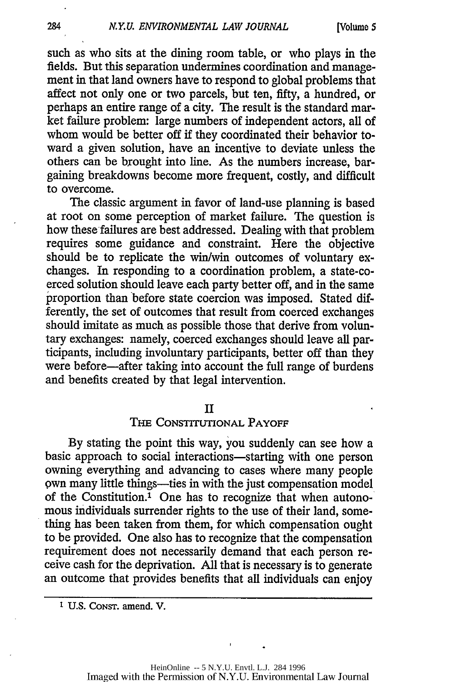such as who sits at the dining room table, or who plays in the fields. But this separation undermines coordination and management in that land owners have to respond to global problems that affect not only one or two parcels, but ten, fifty, a hundred, or perhaps an entire range of a city. The result is the standard market failure problem: large numbers of independent actors, all of whom would be better off if they coordinated their behavior toward a given solution, have an incentive to deviate unless the others can be brought into line. As the numbers increase, bargaining breakdowns become more frequent, costly, and difficult to overcome.

The classic argument in favor of land-use planning is based at root on some perception of market failure. The question is how these failures are best addressed. Dealing with that problem requires some guidance and constraint. Here the objective should be to replicate the win/win outcomes of voluntary exchanges. In responding to a coordination problem, a state-coerced solution should leave each party better off, and in the same proportion than before state coercion was imposed. Stated differently, the set of outcomes that result from coerced exchanges should imitate as much as possible those that derive from voluntary exchanges: namely, coerced exchanges should leave all participants, including involuntary participants, better off than they were before-after taking into account the full range of burdens and benefits created by that legal intervention.

#### II

#### **THE** CONSTITUTIONAL PAYOFF

By stating the point this way, you suddenly can see how a basic approach to social interactions—starting with one person owning everything and advancing to cases where many people own many little things—ties in with the just compensation model of the Constitution.1 One has to recognize that when autonomous individuals surrender rights to the use of their land, something has been taken from them, for which compensation ought to be provided. One also has to recognize that the compensation requirement does not necessarily demand that each person receive cash for the deprivation. All that is necessary is to generate an outcome that provides benefits that all individuals can enjoy

**1 U.S.** CONST. amend. V.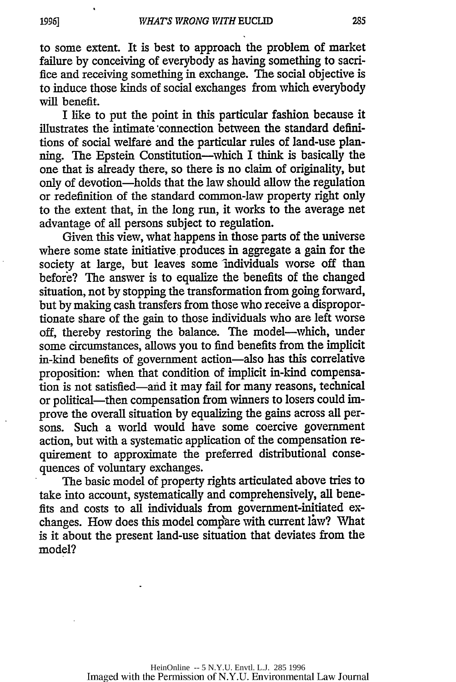to some extent. It is best to approach the problem of market failure by conceiving of everybody as having something to sacrifice and receiving something in exchange. The social objective is to induce those kinds of social exchanges from which everybody will benefit.

I like to put the point in this particular fashion because it illustrates the intimate 'connection between the standard definitions of social welfare and the particular rules of land-use planning. The Epstein Constitution-which I think is basically the one that is already there, so there is no claim of originality, but only of devotion-holds that the law should allow the regulation or redefinition of the standard common-law property right only to the extent that, in the long run, it works to the average net advantage of all persons subject to regulation.

Given this view, what happens in those parts of the universe where some state initiative produces in aggregate a gain for the society at large, but leaves some individuals worse off than before? The answer is to equalize the benefits of the changed situation, not by stopping the transformation from going forward, but by making cash transfers from those who receive a disproportionate share of the gain to those individuals who are left worse off, thereby restoring the balance. The model-which, under some circumstances, allows you to find benefits from the implicit in-kind benefits of government action-also has this correlative proposition: when that condition of implicit in-kind compensation is not satisfied-and it may fail for many reasons, technical or political-then compensation from winners to losers could improve the overall situation by equalizing the gains across all persons. Such a world would have some coercive government action, but with a systematic application of the compensation requirement to approximate the preferred distributional consequences of voluntary exchanges.

The basic model of property rights articulated above tries to take into account, systematically and comprehensively, all benefits and costs to all individuals from government-initiated exchanges. How does this model compare with current law? What is it about the present land-use situation that deviates from the model?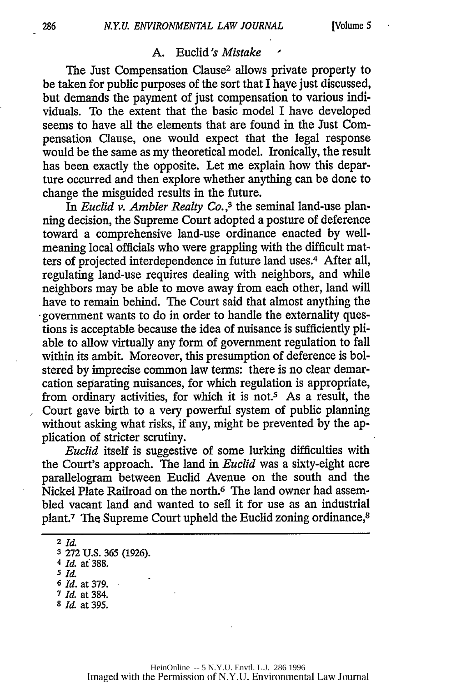## A. Euclid's Mistake

The Just Compensation Clause2 allows private property to be taken for public purposes of the sort that I have just discussed, but demands the payment of just compensation to various individuals. To the extent that the basic model I have developed seems to have all the elements that are found in the Just Compensation Clause, one would expect that the legal response would be the same as my theoretical model. Ironically, the result has been exactly the opposite. Let me explain how this departure occurred and then explore whether anything can be done to change the misguided results in the future.

In *Euclid v. Ambler Realty* **Co.,3** the seminal land-use planning decision, the Supreme Court adopted a posture of deference toward a comprehensive land-use ordinance enacted by wellmeaning local officials who were grappling with the difficult matters of projected interdependence in future land uses.4 After all, regulating land-use requires dealing with neighbors, and while neighbors may be able to move away from each other, land will have to remain behind. The Court said that almost anything the government wants to do in order to handle the externality questions is acceptable because the idea of nuisance is sufficiently pliable to allow virtually any form of government regulation to fall within its ambit. Moreover, this presumption of deference is bolstered by imprecise common law terms: there is no clear demarcation separating nuisances, for which regulation is appropriate, from ordinary activities, for which it is not.<sup>5</sup> As a result, the Court gave birth to a very powerful system of public planning without asking what risks, if any, might be prevented by the application of stricter scrutiny.

*Euclid* itself is suggestive of some lurking difficulties with the Court's approach. The land in *Euclid* was a sixty-eight acre parallelogram between Euclid Avenue on the south and the Nickel Plate Railroad on the north.<sup>6</sup> The land owner had assembled vacant land and wanted to sell it for use as an industrial plant.7 The Supreme Court upheld the Euclid zoning ordinance,8

**8** Id at 395.

**<sup>2</sup>Id**

**<sup>3</sup>** 272 U.S. 365 (1926).

<sup>4</sup> *Id* at'388.

**<sup>5</sup>** *Id*

**<sup>6</sup>** *Id.* at 379.

**<sup>7</sup>** Id at 384.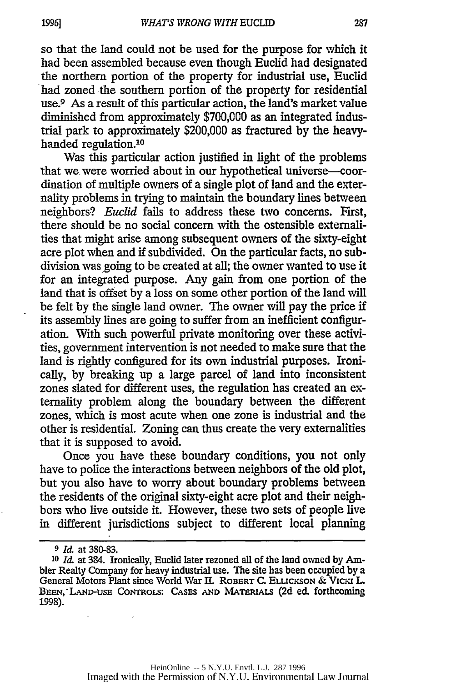so that the land could not be used for the purpose for which it had been assembled because even though Euclid had designated the northern portion of the property for industrial use, Euclid had zoned the southern portion of the property for residential use.9 As a result of this particular action, the land's market value diminished from approximately \$700,000 as an integrated industrial park to approximately \$200,000 as fractured by the heavyhanded regulation.<sup>10</sup>

Was this particular action justified in light of the problems that we were worried about in our hypothetical universe-coordination of multiple owners of a single plot of land and the externality problems in trying to maintain the boundary lines between neighbors? *Euclid* fails to address these two concerns. First, there should be no social concern with the ostensible externalities that might arise among subsequent owners of the sixty-eight acre plot when and if subdivided. On the particular facts, no subdivision was going to be created at all; the owner wanted to use it for an integrated purpose. Any gain from one portion of the land that is offset by a loss on some other portion of the land **will** be felt by the single land owner. The owner will pay the price if its assembly lines are going to suffer from an inefficient configuration. With such powerful private monitoring over these activities, government intervention is not needed to make sure that the land is rightly configured for its own industrial purposes. Ironically, by breaking up a large parcel of land into inconsistent zones slated for different uses, the regulation has created an externality problem along the boundary between the different zones, which is most acute when one zone is industrial and the other is residential. Zoning can thus create the very externalities that it is supposed to avoid.

Once you have these boundary conditions, you not only have to police the interactions between neighbors of the old plot, but you also have to worry about boundary problems between the residents of the original sixty-eight acre plot and their neighbors who live outside it. However, these two sets of people live in different jurisdictions subject to different local planning

**<sup>9</sup>***1d* at 380-83.

**<sup>10</sup>** *1d* at 384. Ironically, Euclid later rezoned all of the land owned by Ambler Realty Company for heavy industrial use. The site has been occupied by a General Motors Plant since World War II. ROBERT C. ELLICKSON & VICKI L. **BEEN, LAND-USE** CoNTRoLs: **CASES AND MATERIALS (2d** ed. forthcoming 1998).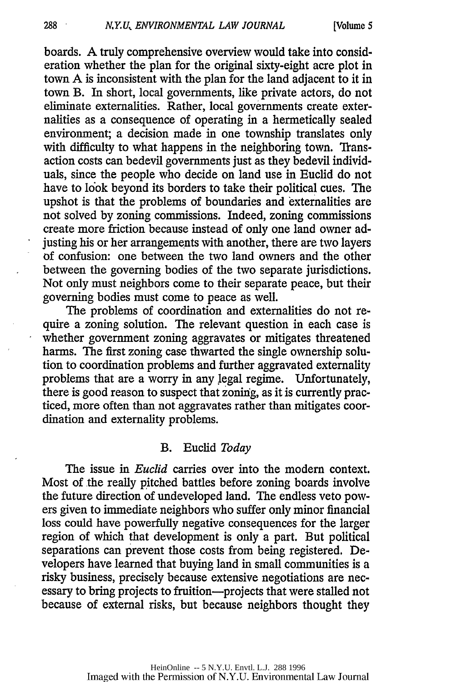boards. A truly comprehensive overview would take into consideration whether the plan for the original sixty-eight acre plot in town A is inconsistent with the plan for the land adjacent to it in town B. In short, local governments, like private actors, do not eliminate externalities. Rather, local governments create externalities as a consequence of operating in a hermetically sealed environment; a decision made in one township translates only with difficulty to what happens in the neighboring town. Transaction costs can bedevil governments just as they bedevil individuals, since the people who decide on land use in Euclid do not have to look beyond its borders to take their political cues. The upshot is that the problems of boundaries and externalities are not solved by zoning commissions. Indeed, zoning commissions create more friction because instead of only one land owner adjusting his or her arrangements with another, there are two layers of confusion: one between the two land owners and the other between the governing bodies of the two separate jurisdictions. Not only must neighbors come to their separate peace, but their governing bodies must come to peace as well.

The problems of coordination and externalities do not require a zoning solution. The relevant question in each case is whether government zoning aggravates or mitigates threatened harms. The first zoning case thwarted the single ownership solution to coordination problems and further aggravated externality problems that are a worry in any legal regime. Unfortunately, there is good reason to suspect that zoning, as it is currently practiced, more often than not aggravates rather than mitigates coordination and externality problems.

#### B. Euclid *Today*

The issue in *Euclid* carries over into the modem context. Most of the really pitched battles before zoning boards involve the future direction of undeveloped land. The endless veto powers given to immediate neighbors who suffer only minor financial loss could have powerfully negative consequences for the larger region of which that development is only a part. But political separations can prevent those costs from being registered. Developers have learned that buying land in small communities is a risky business, precisely because extensive negotiations are necessary to bring projects to fruition-projects that were stalled not because of external risks, but because neighbors thought they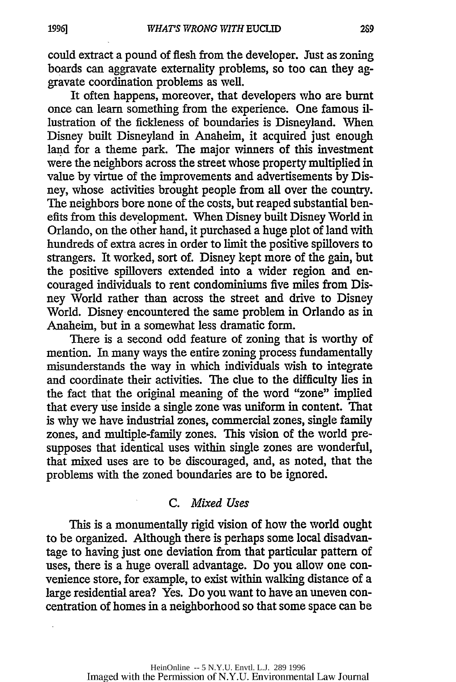could extract a pound of flesh from the developer. Just as zoning boards can aggravate externality problems, so too can they aggravate coordination problems as well.

It often happens, moreover, that developers who are burnt once can learn something from the experience. One famous illustration of the fickleness of boundaries is Disneyland. When Disney built Disneyland in Anaheim, it acquired just enough land for a theme park. The major winners of this investment were the neighbors across the street whose property multiplied in value by virtue of the improvements and advertisements by Disney, whose activities brought people from all over the country. The neighbors bore none of the costs, but reaped substantial benefits from this development. When Disney built Disney World in Orlando, on the other hand, it purchased a huge plot of land with hundreds of extra acres in order to limit the positive spillovers to strangers. It worked, sort of. Disney kept more of the gain, but the positive spillovers extended into a wider region and encouraged individuals to rent condominiums five miles from Disney World rather than across the street and drive to Disney World. Disney encountered the same problem in Orlando as in Anaheim, but in a somewhat less dramatic form.

There is a second odd feature of zoning that is worthy of mention. In many ways the entire zoning process fundamentally misunderstands the way in which individuals wish to integrate and coordinate their activities. The clue to the difficulty lies in the fact that the original meaning of the word "zone" implied that every use inside a single zone was uniform in content. That is why we have industrial zones, commercial zones, single family zones, and multiple-family zones. This vision of the world presupposes that identical uses within single zones are wonderful, that mixed uses are to be discouraged, and, as noted, that the problems with the zoned boundaries are to be ignored.

### *C. Mixed Uses*

This is a monumentally rigid vision of how the world ought to be organized. Although there is perhaps some local disadvantage to having just one deviation from that particular pattern of uses, there is a huge overall advantage. Do you allow one convenience store, for example, to exist within walking distance of a large residential area? Yes. Do you want to have an uneven concentration of homes in a neighborhood so that some space can be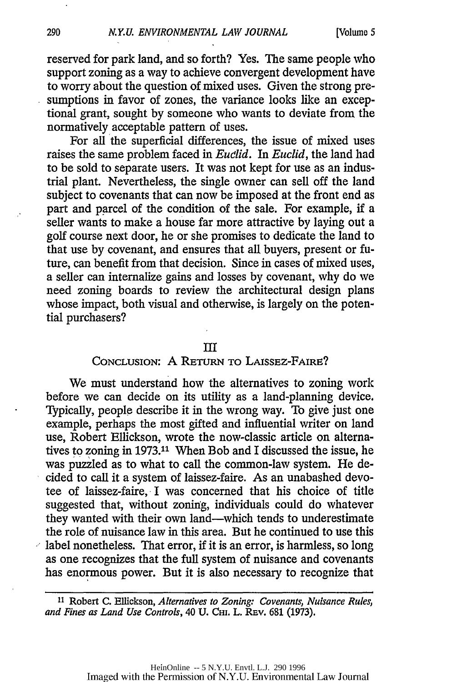reserved for park land, and so forth? Yes. The same people who support zoning as a way to achieve convergent development have to worry about the question of mixed uses. Given the strong presumptions in favor of zones, the variance looks like an exceptional grant, sought by someone who wants to deviate from the normatively acceptable pattern of uses.

For all the superficial differences, the issue of mixed uses raises the same problem faced in *Euclid. In Euclid,* the land had to be sold to separate users. It was not kept for use as an industrial plant. Nevertheless, the single owner can sell off the land subject to covenants that can now be imposed at the front end as part and parcel of the condition of the sale. For example, if a seller wants to make a house far more attractive by laying out a golf course next door, he or she promises to dedicate the land to that use by covenant, and ensures that all buyers, present or future, can benefit from that decision. Since in cases of mixed uses, a seller can internalize gains and losses by covenant, why do we need zoning boards to review the architectural design plans whose impact, both visual and otherwise, is largely on the potential purchasers?

#### **III**

### CONCLUSION: A RETURN TO LAIssEz-FAIRE?

We must understand how the alternatives to zoning work before we can decide on its utility as a land-planning device. Typically, people describe it in the wrong way. To give just one example, perhaps the most gifted and influential writer on land use, Robert Ellickson, wrote the now-classic article on alternatives to zoning in 1973.1' When Bob and I discussed the issue, he was puzzled as to what to call the common-law system. He decided to call it a system of laissez-faire. As an unabashed devotee of laissez-faire, I was concerned that his choice of title suggested that, without zoning, individuals could do whatever they wanted with their own land-which tends to underestimate the role of nuisance law in this area. But he continued to use this label nonetheless. That error, if it is an error, is harmless, so long as one recognizes that the full system of nuisance and covenants has enormous power. But it is also necessary to recognize that

**<sup>11</sup>** Robert **C.** Ellickson, *Alternatives to Zoning: Covenants, Nuisance Rules, and Fines as Land Use Controls,* 40 U. Cii. L. REv. 681 (1973).